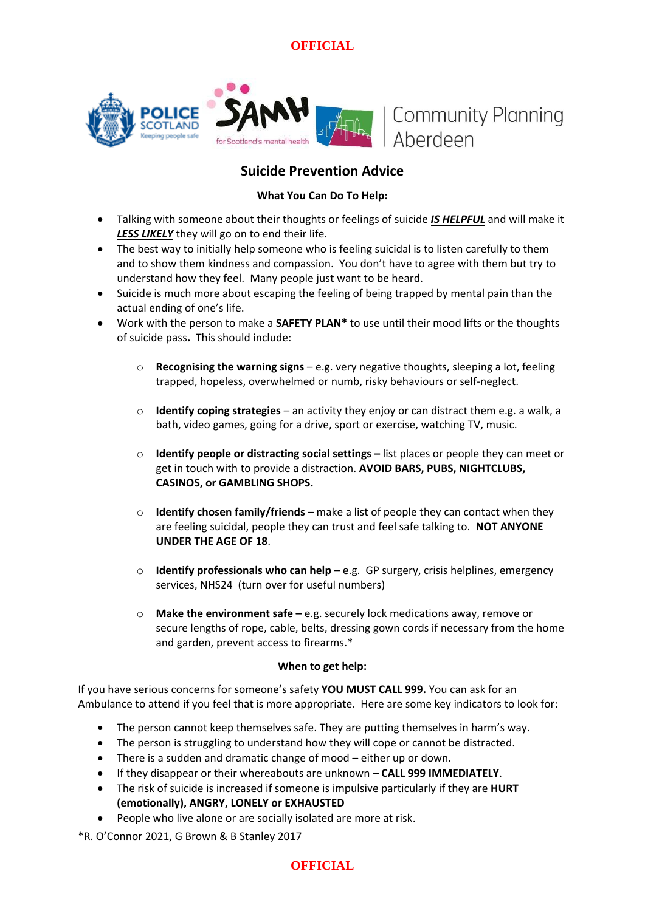

# **Suicide Prevention Advice**

### **What You Can Do To Help:**

- Talking with someone about their thoughts or feelings of suicide *IS HELPFUL* and will make it *LESS LIKELY* they will go on to end their life.
- The best way to initially help someone who is feeling suicidal is to listen carefully to them and to show them kindness and compassion. You don't have to agree with them but try to understand how they feel. Many people just want to be heard.
- Suicide is much more about escaping the feeling of being trapped by mental pain than the actual ending of one's life.
- Work with the person to make a **SAFETY PLAN\*** to use until their mood lifts or the thoughts of suicide pass**.** This should include:
	- o **Recognising the warning signs** e.g. very negative thoughts, sleeping a lot, feeling trapped, hopeless, overwhelmed or numb, risky behaviours or self-neglect.
	- o **Identify coping strategies** an activity they enjoy or can distract them e.g. a walk, a bath, video games, going for a drive, sport or exercise, watching TV, music.
	- o **Identify people or distracting social settings –** list places or people they can meet or get in touch with to provide a distraction. **AVOID BARS, PUBS, NIGHTCLUBS, CASINOS, or GAMBLING SHOPS.**
	- o **Identify chosen family/friends**  make a list of people they can contact when they are feeling suicidal, people they can trust and feel safe talking to. **NOT ANYONE UNDER THE AGE OF 18**.
	- o **Identify professionals who can help**  e.g. GP surgery, crisis helplines, emergency services, NHS24 (turn over for useful numbers)
	- o **Make the environment safe –** e.g. securely lock medications away, remove or secure lengths of rope, cable, belts, dressing gown cords if necessary from the home and garden, prevent access to firearms.\*

#### **When to get help:**

If you have serious concerns for someone's safety **YOU MUST CALL 999.** You can ask for an Ambulance to attend if you feel that is more appropriate. Here are some key indicators to look for:

- The person cannot keep themselves safe. They are putting themselves in harm's way.
- The person is struggling to understand how they will cope or cannot be distracted.
- There is a sudden and dramatic change of mood either up or down.
- If they disappear or their whereabouts are unknown **CALL 999 IMMEDIATELY**.
- The risk of suicide is increased if someone is impulsive particularly if they are **HURT (emotionally), ANGRY, LONELY or EXHAUSTED**
- People who live alone or are socially isolated are more at risk.

\*R. O'Connor 2021, G Brown & B Stanley 2017

## **OFFICIAL**